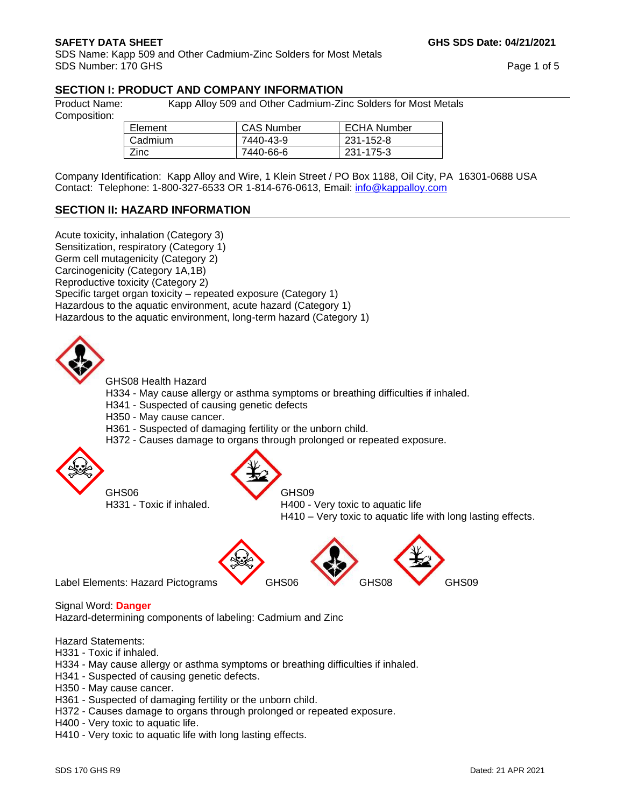SDS Name: Kapp 509 and Other Cadmium-Zinc Solders for Most Metals SDS Number: 170 GHS Page 1 of 5

# **SECTION I: PRODUCT AND COMPANY INFORMATION**

Composition:

Product Name: Kapp Alloy 509 and Other Cadmium-Zinc Solders for Most Metals

| Element     | <b>CAS Number</b> | <b>ECHA Number</b> |
|-------------|-------------------|--------------------|
| Cadmium     | 7440-43-9         | 231-152-8          |
| <b>Zinc</b> | 7440-66-6         | 231-175-3          |

Company Identification: Kapp Alloy and Wire, 1 Klein Street / PO Box 1188, Oil City, PA 16301-0688 USA Contact: Telephone: 1-800-327-6533 OR 1-814-676-0613, Email: [info@kappalloy.com](mailto:info@kappalloy.com)

## **SECTION II: HAZARD INFORMATION**

Acute toxicity, inhalation (Category 3) Sensitization, respiratory (Category 1) Germ cell mutagenicity (Category 2) Carcinogenicity (Category 1A,1B) Reproductive toxicity (Category 2) Specific target organ toxicity – repeated exposure (Category 1) Hazardous to the aquatic environment, acute hazard (Category 1) Hazardous to the aquatic environment, long-term hazard (Category 1)



GHS08 Health Hazard

- H334 May cause allergy or asthma symptoms or breathing difficulties if inhaled.
- H341 Suspected of causing genetic defects
- H350 May cause cancer.
- H361 Suspected of damaging fertility or the unborn child.
- H372 Causes damage to organs through prolonged or repeated exposure.



GHS06 GHS09

H331 - Toxic if inhaled. H400 - Very toxic to aquatic life

H410 – Very toxic to aquatic life with long lasting effects.



## Signal Word: **Danger**

Hazard-determining components of labeling: Cadmium and Zinc

### Hazard Statements:

- H331 Toxic if inhaled.
- H334 May cause allergy or asthma symptoms or breathing difficulties if inhaled.
- H341 Suspected of causing genetic defects.
- H350 May cause cancer.
- H361 Suspected of damaging fertility or the unborn child.
- H372 Causes damage to organs through prolonged or repeated exposure.
- H400 Very toxic to aquatic life.
- H410 Very toxic to aquatic life with long lasting effects.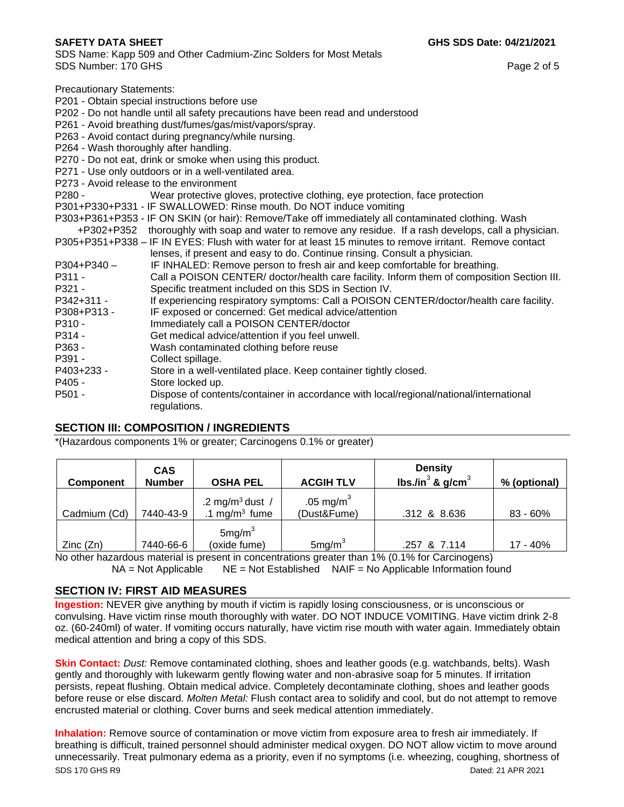SDS Name: Kapp 509 and Other Cadmium-Zinc Solders for Most Metals SDS Number: 170 GHS Page 2 of 5

Precautionary Statements:

P201 - Obtain special instructions before use

P202 - Do not handle until all safety precautions have been read and understood

P261 - Avoid breathing dust/fumes/gas/mist/vapors/spray.

P263 - Avoid contact during pregnancy/while nursing.

- P264 Wash thoroughly after handling.
- P270 Do not eat, drink or smoke when using this product.
- P271 Use only outdoors or in a well-ventilated area.
- P273 Avoid release to the environment
- P280 Wear protective gloves, protective clothing, eye protection, face protection
- P301+P330+P331 IF SWALLOWED: Rinse mouth. Do NOT induce vomiting
- P303+P361+P353 IF ON SKIN (or hair): Remove/Take off immediately all contaminated clothing. Wash
	- +P302+P352 thoroughly with soap and water to remove any residue. If a rash develops, call a physician.
- P305+P351+P338 IF IN EYES: Flush with water for at least 15 minutes to remove irritant. Remove contact lenses, if present and easy to do. Continue rinsing. Consult a physician.
- P304+P340 IF INHALED: Remove person to fresh air and keep comfortable for breathing.
- P311 Call a POISON CENTER/ doctor/health care facility. Inform them of composition Section III. P321 - Specific treatment included on this SDS in Section IV.
- P342+311 If experiencing respiratory symptoms: Call a POISON CENTER/doctor/health care facility.
- P308+P313 IF exposed or concerned: Get medical advice/attention
- P310 Immediately call a POISON CENTER/doctor
- P314 Get medical advice/attention if you feel unwell.
- P363 Wash contaminated clothing before reuse
- P391 Collect spillage.
- P403+233 Store in a well-ventilated place. Keep container tightly closed.
- P405 Store locked up.
- P501 Dispose of contents/container in accordance with local/regional/national/international regulations.

## **SECTION III: COMPOSITION / INGREDIENTS**

\*(Hazardous components 1% or greater; Carcinogens 0.1% or greater)

| <b>Component</b> | <b>CAS</b><br><b>Number</b> | <b>OSHA PEL</b>                                          | <b>ACGIH TLV</b>                     | <b>Density</b><br>lbs./in $3$ & g/cm $3$ | % (optional) |
|------------------|-----------------------------|----------------------------------------------------------|--------------------------------------|------------------------------------------|--------------|
| Cadmium (Cd)     | 7440-43-9                   | .2 mg/m <sup>3</sup> dust /<br>.1 mg/m <sup>3</sup> fume | .05 mg/m <sup>3</sup><br>(Dust&Fume) | .312 & 8.636                             | 83 - 60%     |
| Zinc(Zn)         | 7440-66-6                   | 5mg/m <sup>3</sup><br>(oxide fume)                       | 5mg/m <sup>3</sup>                   | .257 & 7.114                             | 17 - 40%     |

No other hazardous material is present in concentrations greater than 1% (0.1% for Carcinogens)  $NA = Not$  Applicable  $NE = Not$  Established  $NAIF = No$  Applicable Information found

# **SECTION IV: FIRST AID MEASURES**

**Ingestion:** NEVER give anything by mouth if victim is rapidly losing consciousness, or is unconscious or convulsing. Have victim rinse mouth thoroughly with water. DO NOT INDUCE VOMITING. Have victim drink 2-8 oz. (60-240ml) of water. If vomiting occurs naturally, have victim rise mouth with water again. Immediately obtain medical attention and bring a copy of this SDS.

**Skin Contact:** *Dust:* Remove contaminated clothing, shoes and leather goods (e.g. watchbands, belts). Wash gently and thoroughly with lukewarm gently flowing water and non-abrasive soap for 5 minutes. If irritation persists, repeat flushing. Obtain medical advice. Completely decontaminate clothing, shoes and leather goods before reuse or else discard. *Molten Metal:* Flush contact area to solidify and cool, but do not attempt to remove encrusted material or clothing. Cover burns and seek medical attention immediately.

SDS 170 GHS R9 Dated: 21 APR 2021 **Inhalation:** Remove source of contamination or move victim from exposure area to fresh air immediately. If breathing is difficult, trained personnel should administer medical oxygen. DO NOT allow victim to move around unnecessarily. Treat pulmonary edema as a priority, even if no symptoms (i.e. wheezing, coughing, shortness of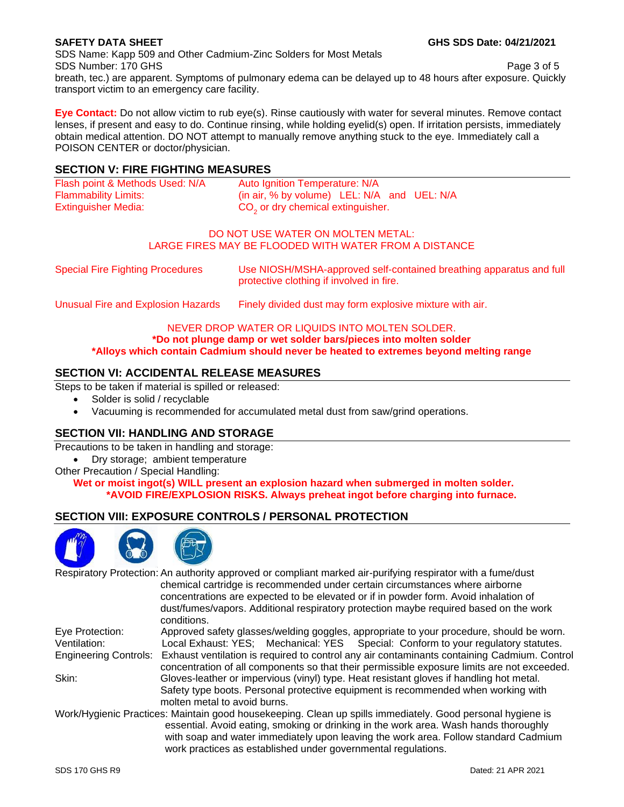SDS Name: Kapp 509 and Other Cadmium-Zinc Solders for Most Metals SDS Number: 170 GHS Page 3 of 5 breath, tec.) are apparent. Symptoms of pulmonary edema can be delayed up to 48 hours after exposure. Quickly

**Eye Contact:** Do not allow victim to rub eye(s). Rinse cautiously with water for several minutes. Remove contact lenses, if present and easy to do. Continue rinsing, while holding eyelid(s) open. If irritation persists, immediately obtain medical attention. DO NOT attempt to manually remove anything stuck to the eye. Immediately call a POISON CENTER or doctor/physician.

## **SECTION V: FIRE FIGHTING MEASURES**

transport victim to an emergency care facility.

| Flash point & Methods Used: N/A | Auto Ignition Temperature: N/A                |  |
|---------------------------------|-----------------------------------------------|--|
| <b>Flammability Limits:</b>     | (in air, % by volume) LEL: N/A and UEL: N/A   |  |
| <b>Extinguisher Media:</b>      | CO <sub>2</sub> or dry chemical extinguisher. |  |

### DO NOT USE WATER ON MOLTEN METAL: LARGE FIRES MAY BE FLOODED WITH WATER FROM A DISTANCE

Special Fire Fighting Procedures Use NIOSH/MSHA-approved self-contained breathing apparatus and full protective clothing if involved in fire.

Unusual Fire and Explosion Hazards Finely divided dust may form explosive mixture with air.

# NEVER DROP WATER OR LIQUIDS INTO MOLTEN SOLDER. **\*Do not plunge damp or wet solder bars/pieces into molten solder**

**\*Alloys which contain Cadmium should never be heated to extremes beyond melting range** 

# **SECTION VI: ACCIDENTAL RELEASE MEASURES**

Steps to be taken if material is spilled or released:

- Solder is solid / recyclable
- Vacuuming is recommended for accumulated metal dust from saw/grind operations.

# **SECTION VII: HANDLING AND STORAGE**

Precautions to be taken in handling and storage:

- Dry storage; ambient temperature
- Other Precaution / Special Handling:

**Wet or moist ingot(s) WILL present an explosion hazard when submerged in molten solder. \*AVOID FIRE/EXPLOSION RISKS. Always preheat ingot before charging into furnace.**

# **SECTION VIII: EXPOSURE CONTROLS / PERSONAL PROTECTION**



Respiratory Protection: An authority approved or compliant marked air-purifying respirator with a fume/dust chemical cartridge is recommended under certain circumstances where airborne concentrations are expected to be elevated or if in powder form. Avoid inhalation of dust/fumes/vapors. Additional respiratory protection maybe required based on the work conditions. Eye Protection: Approved safety glasses/welding goggles, appropriate to your procedure, should be worn. Ventilation: Local Exhaust: YES; Mechanical: YES Special: Conform to your regulatory statutes. Engineering Controls: Exhaust ventilation is required to control any air contaminants containing Cadmium. Control concentration of all components so that their permissible exposure limits are not exceeded. Skin: Gloves-leather or impervious (vinyl) type. Heat resistant gloves if handling hot metal. Safety type boots. Personal protective equipment is recommended when working with molten metal to avoid burns. Work/Hygienic Practices: Maintain good housekeeping. Clean up spills immediately. Good personal hygiene is

essential. Avoid eating, smoking or drinking in the work area. Wash hands thoroughly with soap and water immediately upon leaving the work area. Follow standard Cadmium work practices as established under governmental regulations.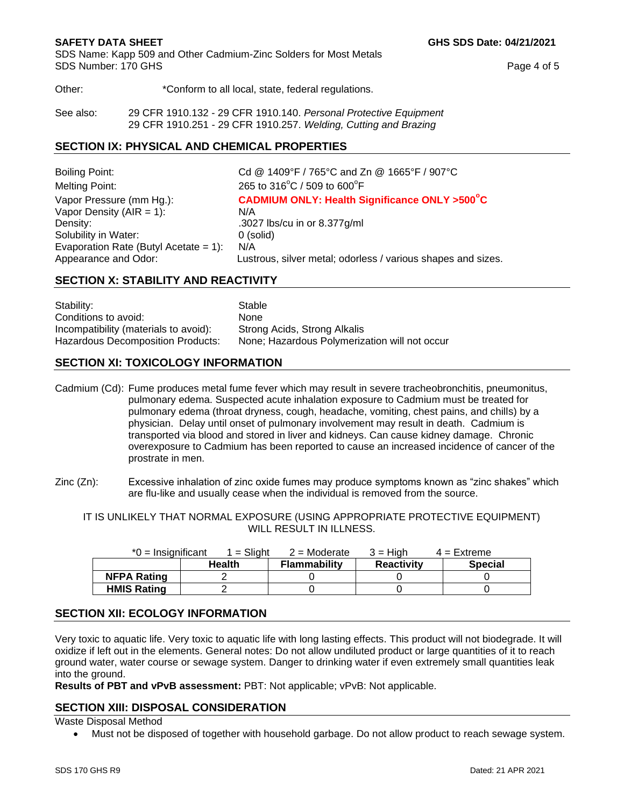SDS Name: Kapp 509 and Other Cadmium-Zinc Solders for Most Metals SDS Number: 170 GHS Page 4 of 5

Other:  $*$ Conform to all local, state, federal regulations.

See also: 29 CFR 1910.132 - 29 CFR 1910.140. *Personal Protective Equipment* 29 CFR 1910.251 - 29 CFR 1910.257. *Welding, Cutting and Brazing*

## **SECTION IX: PHYSICAL AND CHEMICAL PROPERTIES**

Boiling Point: Cd @ 1409°F / 765°C and Zn @ 1665°F / 907°C Melting Point:  $C / 509$  to  $600^{\circ}$ F Vapor Pressure (mm Hg.): **CADMIUM ONLY: Health Significance ONLY >500<sup>°</sup>C** Vapor Density  $(AIR = 1)$ :  $N/A$ Density: .3027 lbs/cu in or 8.377g/ml Solubility in Water: 0 (solid) Evaporation Rate (Butyl Acetate =  $1$ ): N/A Appearance and Odor: Lustrous, silver metal; odorless / various shapes and sizes.

# **SECTION X: STABILITY AND REACTIVITY**

Stability: Stable Conditions to avoid: None Incompatibility (materials to avoid): Strong Acids, Strong Alkalis Hazardous Decomposition Products: None; Hazardous Polymerization will not occur

# **SECTION XI: TOXICOLOGY INFORMATION**

Cadmium (Cd): Fume produces metal fume fever which may result in severe tracheobronchitis, pneumonitus, pulmonary edema. Suspected acute inhalation exposure to Cadmium must be treated for pulmonary edema (throat dryness, cough, headache, vomiting, chest pains, and chills) by a physician. Delay until onset of pulmonary involvement may result in death. Cadmium is transported via blood and stored in liver and kidneys. Can cause kidney damage. Chronic overexposure to Cadmium has been reported to cause an increased incidence of cancer of the prostrate in men.

Zinc (Zn): Excessive inhalation of zinc oxide fumes may produce symptoms known as "zinc shakes" which are flu-like and usually cease when the individual is removed from the source.

IT IS UNLIKELY THAT NORMAL EXPOSURE (USING APPROPRIATE PROTECTIVE EQUIPMENT) WILL RESULT IN ILLNESS.

| $*0 =$ Insignificant | $1 =$ Slight  | $2$ = Moderate      | 3 = Hiah          | $4$ = Extreme  |
|----------------------|---------------|---------------------|-------------------|----------------|
|                      | <b>Health</b> | <b>Flammability</b> | <b>Reactivity</b> | <b>Special</b> |
| <b>NFPA Rating</b>   |               |                     |                   |                |
| <b>HMIS Rating</b>   |               |                     |                   |                |

# **SECTION XII: ECOLOGY INFORMATION**

Very toxic to aquatic life. Very toxic to aquatic life with long lasting effects. This product will not biodegrade. It will oxidize if left out in the elements. General notes: Do not allow undiluted product or large quantities of it to reach ground water, water course or sewage system. Danger to drinking water if even extremely small quantities leak into the ground.

**Results of PBT and vPvB assessment:** PBT: Not applicable; vPvB: Not applicable.

# **SECTION XIII: DISPOSAL CONSIDERATION**

Waste Disposal Method

• Must not be disposed of together with household garbage. Do not allow product to reach sewage system.